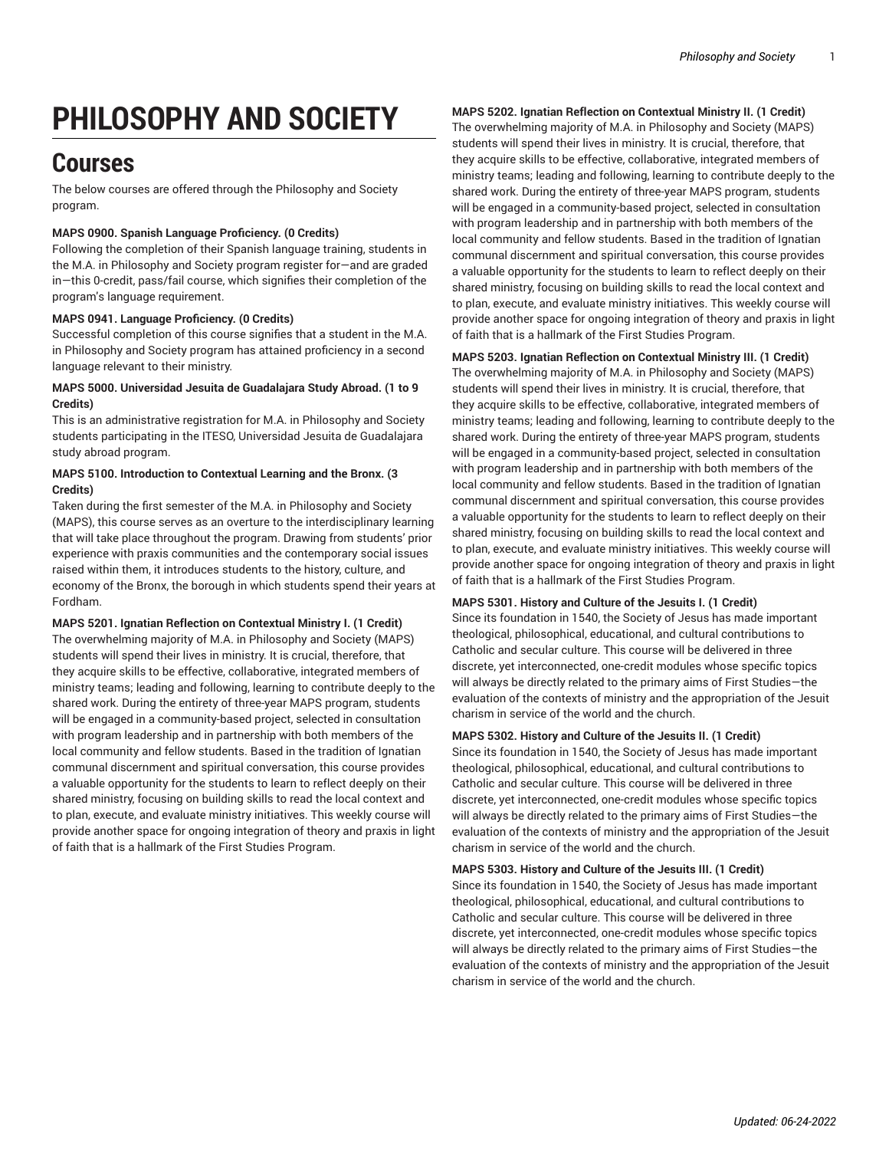# **PHILOSOPHY AND SOCIETY**

## **Courses**

The below courses are offered through the Philosophy and Society program.

#### **MAPS 0900. Spanish Language Proficiency. (0 Credits)**

Following the completion of their Spanish language training, students in the M.A. in Philosophy and Society program register for—and are graded in—this 0-credit, pass/fail course, which signifies their completion of the program's language requirement.

#### **MAPS 0941. Language Proficiency. (0 Credits)**

Successful completion of this course signifies that a student in the M.A. in Philosophy and Society program has attained proficiency in a second language relevant to their ministry.

#### **MAPS 5000. Universidad Jesuita de Guadalajara Study Abroad. (1 to 9 Credits)**

This is an administrative registration for M.A. in Philosophy and Society students participating in the ITESO, Universidad Jesuita de Guadalajara study abroad program.

#### **MAPS 5100. Introduction to Contextual Learning and the Bronx. (3 Credits)**

Taken during the first semester of the M.A. in Philosophy and Society (MAPS), this course serves as an overture to the interdisciplinary learning that will take place throughout the program. Drawing from students' prior experience with praxis communities and the contemporary social issues raised within them, it introduces students to the history, culture, and economy of the Bronx, the borough in which students spend their years at Fordham.

**MAPS 5201. Ignatian Reflection on Contextual Ministry I. (1 Credit)** The overwhelming majority of M.A. in Philosophy and Society (MAPS) students will spend their lives in ministry. It is crucial, therefore, that they acquire skills to be effective, collaborative, integrated members of ministry teams; leading and following, learning to contribute deeply to the shared work. During the entirety of three-year MAPS program, students will be engaged in a community-based project, selected in consultation with program leadership and in partnership with both members of the local community and fellow students. Based in the tradition of Ignatian communal discernment and spiritual conversation, this course provides a valuable opportunity for the students to learn to reflect deeply on their shared ministry, focusing on building skills to read the local context and to plan, execute, and evaluate ministry initiatives. This weekly course will provide another space for ongoing integration of theory and praxis in light of faith that is a hallmark of the First Studies Program.

#### **MAPS 5202. Ignatian Reflection on Contextual Ministry II. (1 Credit)**

The overwhelming majority of M.A. in Philosophy and Society (MAPS) students will spend their lives in ministry. It is crucial, therefore, that they acquire skills to be effective, collaborative, integrated members of ministry teams; leading and following, learning to contribute deeply to the shared work. During the entirety of three-year MAPS program, students will be engaged in a community-based project, selected in consultation with program leadership and in partnership with both members of the local community and fellow students. Based in the tradition of Ignatian communal discernment and spiritual conversation, this course provides a valuable opportunity for the students to learn to reflect deeply on their shared ministry, focusing on building skills to read the local context and to plan, execute, and evaluate ministry initiatives. This weekly course will provide another space for ongoing integration of theory and praxis in light of faith that is a hallmark of the First Studies Program.

### **MAPS 5203. Ignatian Reflection on Contextual Ministry III. (1 Credit)** The overwhelming majority of M.A. in Philosophy and Society (MAPS)

students will spend their lives in ministry. It is crucial, therefore, that they acquire skills to be effective, collaborative, integrated members of ministry teams; leading and following, learning to contribute deeply to the shared work. During the entirety of three-year MAPS program, students will be engaged in a community-based project, selected in consultation with program leadership and in partnership with both members of the local community and fellow students. Based in the tradition of Ignatian communal discernment and spiritual conversation, this course provides a valuable opportunity for the students to learn to reflect deeply on their shared ministry, focusing on building skills to read the local context and to plan, execute, and evaluate ministry initiatives. This weekly course will provide another space for ongoing integration of theory and praxis in light of faith that is a hallmark of the First Studies Program.

#### **MAPS 5301. History and Culture of the Jesuits I. (1 Credit)**

Since its foundation in 1540, the Society of Jesus has made important theological, philosophical, educational, and cultural contributions to Catholic and secular culture. This course will be delivered in three discrete, yet interconnected, one-credit modules whose specific topics will always be directly related to the primary aims of First Studies—the evaluation of the contexts of ministry and the appropriation of the Jesuit charism in service of the world and the church.

#### **MAPS 5302. History and Culture of the Jesuits II. (1 Credit)**

Since its foundation in 1540, the Society of Jesus has made important theological, philosophical, educational, and cultural contributions to Catholic and secular culture. This course will be delivered in three discrete, yet interconnected, one-credit modules whose specific topics will always be directly related to the primary aims of First Studies—the evaluation of the contexts of ministry and the appropriation of the Jesuit charism in service of the world and the church.

#### **MAPS 5303. History and Culture of the Jesuits III. (1 Credit)**

Since its foundation in 1540, the Society of Jesus has made important theological, philosophical, educational, and cultural contributions to Catholic and secular culture. This course will be delivered in three discrete, yet interconnected, one-credit modules whose specific topics will always be directly related to the primary aims of First Studies—the evaluation of the contexts of ministry and the appropriation of the Jesuit charism in service of the world and the church.